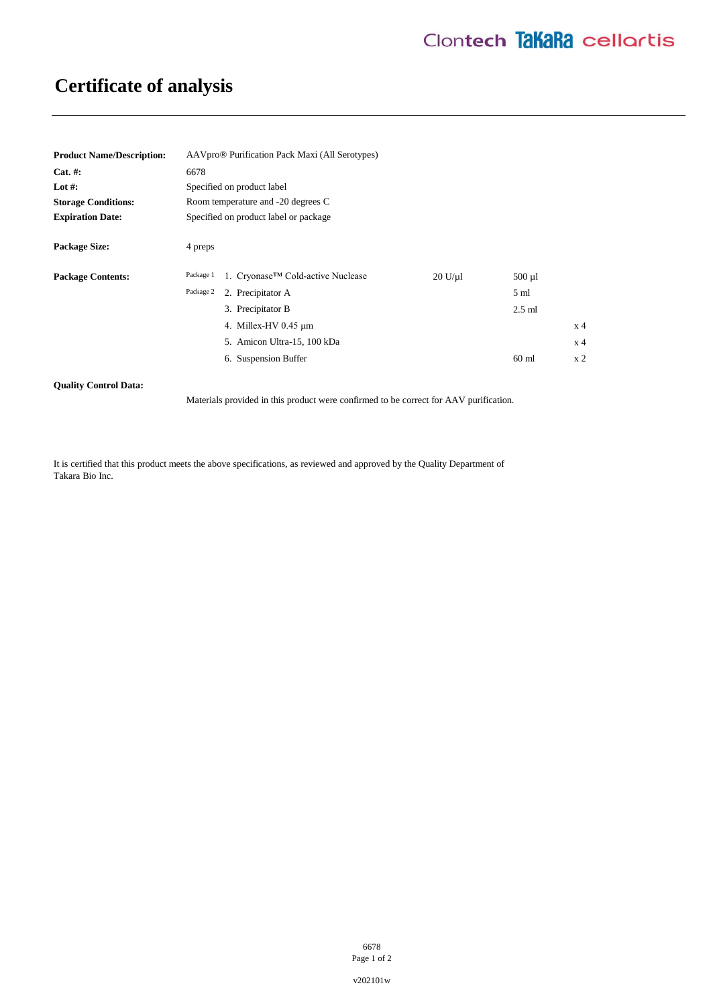# **Certificate of analysis**

| <b>Product Name/Description:</b> | AAVpro® Purification Pack Maxi (All Serotypes) |                                   |         |                 |                |
|----------------------------------|------------------------------------------------|-----------------------------------|---------|-----------------|----------------|
| $Cat. \#:$                       | 6678                                           |                                   |         |                 |                |
| Lot #:                           | Specified on product label                     |                                   |         |                 |                |
| <b>Storage Conditions:</b>       | Room temperature and -20 degrees C             |                                   |         |                 |                |
| <b>Expiration Date:</b>          | Specified on product label or package          |                                   |         |                 |                |
| <b>Package Size:</b>             | 4 preps                                        |                                   |         |                 |                |
| <b>Package Contents:</b>         | Package 1                                      | 1. Cryonase™ Cold-active Nuclease | 20 U/u1 | $500 \mu l$     |                |
|                                  | Package 2                                      | 2. Precipitator A                 |         | 5 <sub>ml</sub> |                |
|                                  |                                                | 3. Precipitator B                 |         | $2.5$ ml        |                |
|                                  |                                                | 4. Millex-HV 0.45 µm              |         |                 | x <sub>4</sub> |
|                                  |                                                | 5. Amicon Ultra-15, 100 kDa       |         |                 | x <sub>4</sub> |
|                                  |                                                | 6. Suspension Buffer              |         | $60$ ml         | x <sub>2</sub> |

### **Quality Control Data:**

Materials provided in this product were confirmed to be correct for AAV purification.

It is certified that this product meets the above specifications, as reviewed and approved by the Quality Department of Takara Bio Inc.

> 6678 Page 1 of 2

v202101w